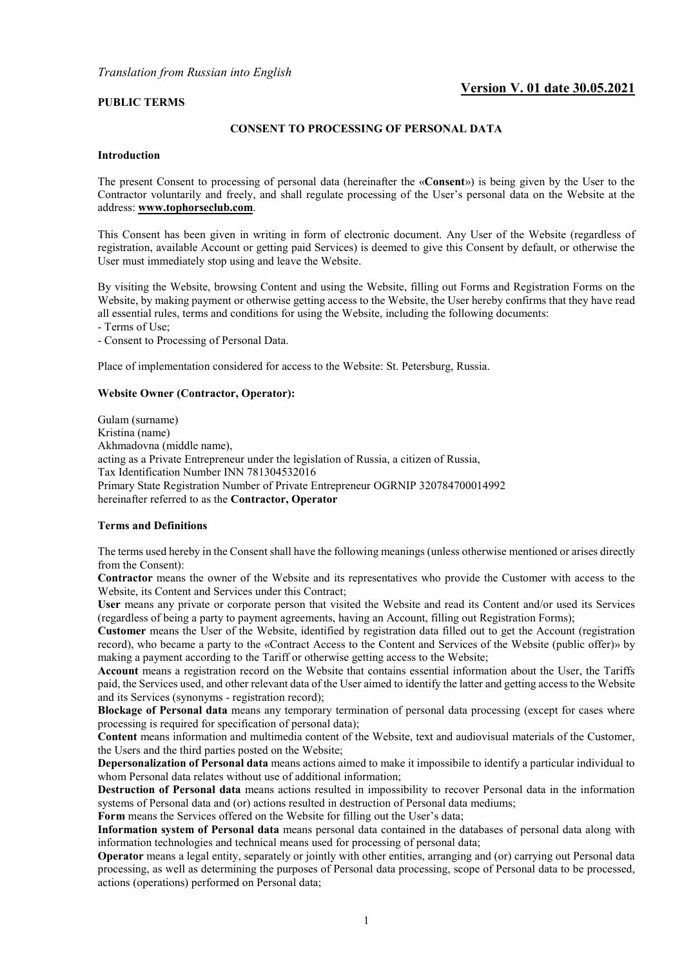## **Version V. 01 date 30.05.2021**

### **PUBLIC TERMS**

### **CONSENT TO PROCESSING OF PERSONAL DATA**

### **Introduction**

The present Consent to processing of personal data (hereinafter the «**Consent**») is being given by the User to the Contractor voluntarily and freely, and shall regulate processing of the User's personal data on the Website at the address: **www.tophorseclub.com**.

This Consent has been given in writing in form of electronic document. Any User of the Website (regardless of registration, available Account or getting paid Services) is deemed to give this Consent by default, or otherwise the User must immediately stop using and leave the Website.

By visiting the Website, browsing Content and using the Website, filling out Forms and Registration Forms on the Website, by making payment or otherwise getting access to the Website, the User hereby confirms that they have read all essential rules, terms and conditions for using the Website, including the following documents:

- Terms of Use;

- Consent to Processing of Personal Data.

Place of implementation considered for access to the Website: St. Petersburg, Russia.

### **Website Owner (Contractor, Operator):**

Gulam (surname) Kristina (name) Akhmadovna (middle name), acting as a Private Entrepreneur under the legislation of Russia, a citizen of Russia, Tax Identification Number INN 781304532016 Primary State Registration Number of Private Entrepreneur OGRNIP 320784700014992 hereinafter referred to as the **Contractor, Operator**

### **Terms and Definitions**

The terms used hereby in the Consent shall have the following meanings (unless otherwise mentioned or arises directly from the Consent):

**Contractor** means the owner of the Website and its representatives who provide the Customer with access to the Website, its Content and Services under this Contract;

**User** means any private or corporate person that visited the Website and read its Content and/or used its Services (regardless of being a party to payment agreements, having an Account, filling out Registration Forms);

**Customer** means the User of the Website, identified by registration data filled out to get the Account (registration record), who became a party to the «Contract Access to the Content and Services of the Website (public offer)» by making a payment according to the Tariff or otherwise getting access to the Website;

**Account** means a registration record on the Website that contains essential information about the User, the Tariffs paid, the Services used, and other relevant data of the User aimed to identify the latter and getting access to the Website and its Services (synonyms - registration record);

**Blockage of Personal data** means any temporary termination of personal data processing (except for cases where processing is required for specification of personal data);

**Content** means information and multimedia content of the Website, text and audiovisual materials of the Customer, the Users and the third parties posted on the Website;

**Depersonalization of Personal data** means actions aimed to make it impossibile to identify a particular individual to whom Personal data relates without use of additional information;

**Destruction of Personal data** means actions resulted in impossibility to recover Personal data in the information systems of Personal data and (or) actions resulted in destruction of Personal data mediums;

**Form** means the Services offered on the Website for filling out the User's data;

**Information system of Personal data** means personal data contained in the databases of personal data along with information technologies and technical means used for processing of personal data;

**Operator** means a legal entity, separately or jointly with other entities, arranging and (or) carrying out Personal data processing, as well as determining the purposes of Personal data processing, scope of Personal data to be processed, actions (operations) performed on Personal data;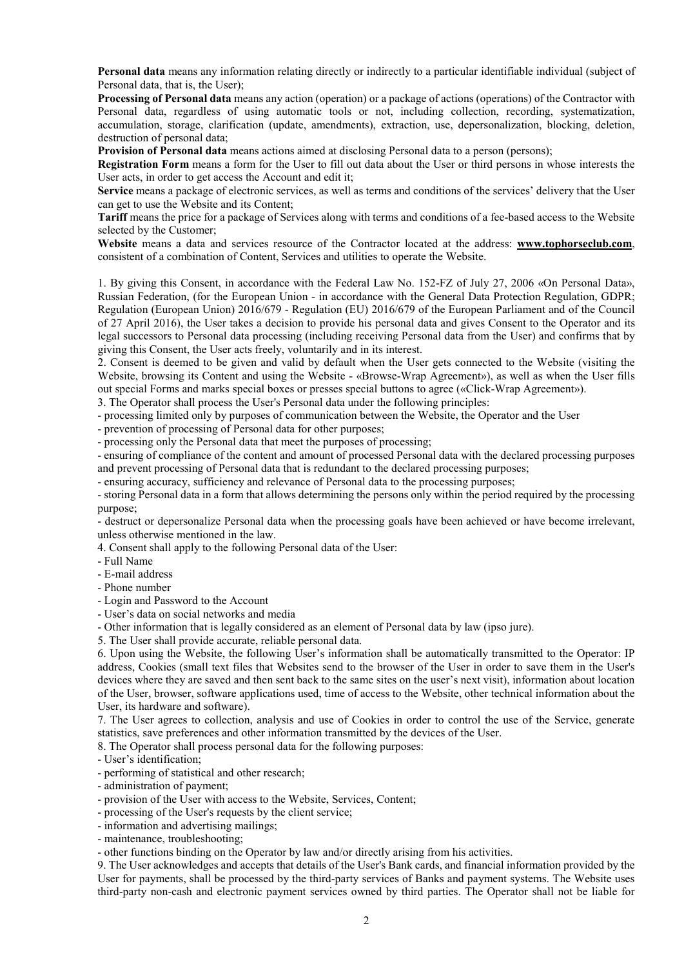**Personal data** means any information relating directly or indirectly to a particular identifiable individual (subject of Personal data, that is, the User);

**Processing of Personal data** means any action (operation) or a package of actions (operations) of the Contractor with Personal data, regardless of using automatic tools or not, including collection, recording, systematization, accumulation, storage, clarification (update, amendments), extraction, use, depersonalization, blocking, deletion, destruction of personal data;

**Provision of Personal data** means actions aimed at disclosing Personal data to a person (persons);

**Registration Form** means a form for the User to fill out data about the User or third persons in whose interests the User acts, in order to get access the Account and edit it:

**Service** means a package of electronic services, as well as terms and conditions of the services' delivery that the User can get to use the Website and its Content;

**Tariff** means the price for a package of Services along with terms and conditions of a fee-based access to the Website selected by the Customer;

**Website** means a data and services resource of the Contractor located at the address: **[www.tophorseclub.com](http://www.tophorseclub.com/)**, consistent of a combination of Content, Services and utilities to operate the Website.

1. By giving this Consent, in accordance with the Federal Law No. 152-FZ of July 27, 2006 «On Personal Data», Russian Federation, (for the European Union - in accordance with the General Data Protection Regulation, GDPR; Regulation (European Union) 2016/679 - Regulation (EU) 2016/679 of the European Parliament and of the Council of 27 April 2016), the User takes a decision to provide his personal data and gives Consent to the Operator and its legal successors to Personal data processing (including receiving Personal data from the User) and confirms that by giving this Consent, the User acts freely, voluntarily and in its interest.

2. Consent is deemed to be given and valid by default when the User gets connected to the Website (visiting the Website, browsing its Content and using the Website - «Browse-Wrap Agreement»), as well as when the User fills out special Forms and marks special boxes or presses special buttons to agree («Click-Wrap Agreement»).

3. The Operator shall process the User's Personal data under the following principles:

- processing limited only by purposes of communication between the Website, the Operator and the User

- prevention of processing of Personal data for other purposes;

- processing only the Personal data that meet the purposes of processing;

- ensuring of compliance of the content and amount of processed Personal data with the declared processing purposes and prevent processing of Personal data that is redundant to the declared processing purposes;

- ensuring accuracy, sufficiency and relevance of Personal data to the processing purposes;

- storing Personal data in a form that allows determining the persons only within the period required by the processing purpose;

- destruct or depersonalize Personal data when the processing goals have been achieved or have become irrelevant, unless otherwise mentioned in the law.

4. Consent shall apply to the following Personal data of the User:

- Full Name

- E-mail address

- Phone number

- Login and Password to the Account

- User's data on social networks and media

- Other information that is legally considered as an element of Personal data by law (ipso jure).

5. The User shall provide accurate, reliable personal data.

6. Upon using the Website, the following User's information shall be automatically transmitted to the Operator: IP address, Cookies (small text files that Websites send to the browser of the User in order to save them in the User's devices where they are saved and then sent back to the same sites on the user's next visit), information about location of the User, browser, software applications used, time of access to the Website, other technical information about the User, its hardware and software).

7. The User agrees to collection, analysis and use of Cookies in order to control the use of the Service, generate statistics, save preferences and other information transmitted by the devices of the User.

8. The Operator shall process personal data for the following purposes:

- User's identification;

- performing of statistical and other research;

- administration of payment;

- provision of the User with access to the Website, Services, Content;

- processing of the User's requests by the client service;

- information and advertising mailings;

- maintenance, troubleshooting;

- other functions binding on the Operator by law and/or directly arising from his activities.

9. The User acknowledges and accepts that details of the User's Bank cards, and financial information provided by the User for payments, shall be processed by the third-party services of Banks and payment systems. The Website uses third-party non-cash and electronic payment services owned by third parties. The Operator shall not be liable for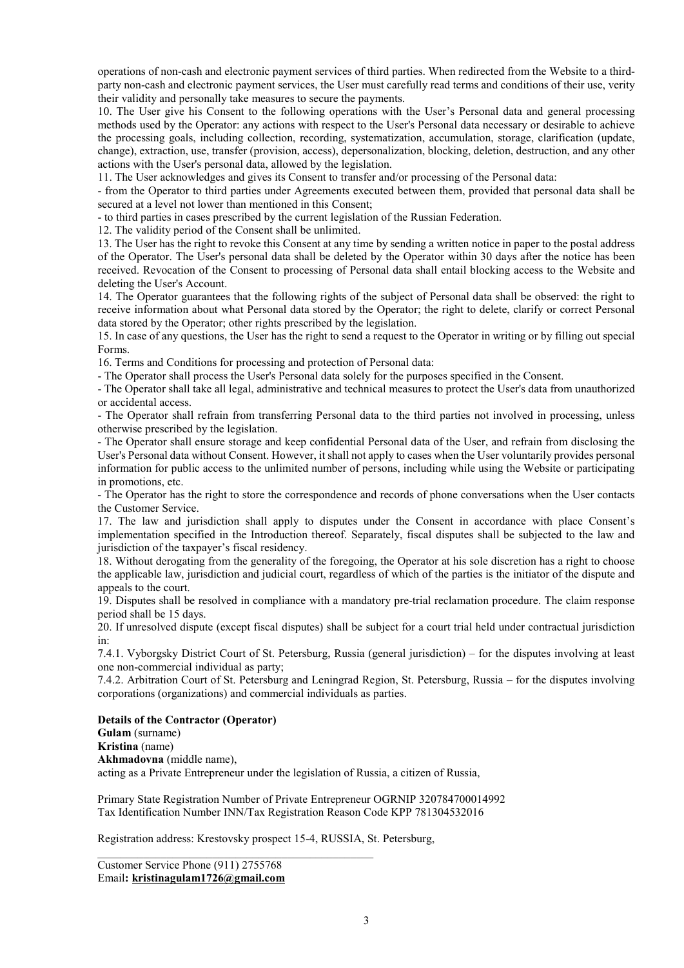operations of non-cash and electronic payment services of third parties. When redirected from the Website to a thirdparty non-cash and electronic payment services, the User must carefully read terms and conditions of their use, verity their validity and personally take measures to secure the payments.

10. The User give his Consent to the following operations with the User's Personal data and general processing methods used by the Operator: any actions with respect to the User's Personal data necessary or desirable to achieve the processing goals, including collection, recording, systematization, accumulation, storage, clarification (update, change), extraction, use, transfer (provision, access), depersonalization, blocking, deletion, destruction, and any other actions with the User's personal data, allowed by the legislation.

11. The User acknowledges and gives its Consent to transfer and/or processing of the Personal data:

- from the Operator to third parties under Agreements executed between them, provided that personal data shall be secured at a level not lower than mentioned in this Consent;

- to third parties in cases prescribed by the current legislation of the Russian Federation.

12. The validity period of the Consent shall be unlimited.

13. The User has the right to revoke this Consent at any time by sending a written notice in paper to the postal address of the Operator. The User's personal data shall be deleted by the Operator within 30 days after the notice has been received. Revocation of the Consent to processing of Personal data shall entail blocking access to the Website and deleting the User's Account.

14. The Operator guarantees that the following rights of the subject of Personal data shall be observed: the right to receive information about what Personal data stored by the Operator; the right to delete, clarify or correct Personal data stored by the Operator; other rights prescribed by the legislation.

15. In case of any questions, the User has the right to send a request to the Operator in writing or by filling out special Forms.

16. Terms and Conditions for processing and protection of Personal data:

- The Operator shall process the User's Personal data solely for the purposes specified in the Consent.

- The Operator shall take all legal, administrative and technical measures to protect the User's data from unauthorized or accidental access.

- The Operator shall refrain from transferring Personal data to the third parties not involved in processing, unless otherwise prescribed by the legislation.

- The Operator shall ensure storage and keep confidential Personal data of the User, and refrain from disclosing the User's Personal data without Consent. However, it shall not apply to cases when the User voluntarily provides personal information for public access to the unlimited number of persons, including while using the Website or participating in promotions, etc.

- The Operator has the right to store the correspondence and records of phone conversations when the User contacts the Customer Service.

17. The law and jurisdiction shall apply to disputes under the Consent in accordance with place Consent's implementation specified in the Introduction thereof. Separately, fiscal disputes shall be subjected to the law and jurisdiction of the taxpayer's fiscal residency.

18. Without derogating from the generality of the foregoing, the Operator at his sole discretion has a right to choose the applicable law, jurisdiction and judicial court, regardless of which of the parties is the initiator of the dispute and appeals to the court.

19. Disputes shall be resolved in compliance with a mandatory pre-trial reclamation procedure. The claim response period shall be 15 days.

20. If unresolved dispute (except fiscal disputes) shall be subject for a court trial held under contractual jurisdiction in:

7.4.1. Vyborgsky District Court of St. Petersburg, Russia (general jurisdiction) – for the disputes involving at least one non-commercial individual as party;

7.4.2. Arbitration Court of St. Petersburg and Leningrad Region, St. Petersburg, Russia – for the disputes involving corporations (organizations) and commercial individuals as parties.

### **Details of the Contractor (Operator)**

# **Gulam** (surname)

**Kristina** (name)

**Akhmadovna** (middle name),

acting as a Private Entrepreneur under the legislation of Russia, a citizen of Russia,

Primary State Registration Number of Private Entrepreneur OGRNIP 320784700014992 Tax Identification Number INN/Tax Registration Reason Code KPP 781304532016

Registration address: Krestovsky prospect 15-4, RUSSIA, St. Petersburg,

 $\mathcal{L}_\text{max}$  and  $\mathcal{L}_\text{max}$  and  $\mathcal{L}_\text{max}$  and  $\mathcal{L}_\text{max}$  and  $\mathcal{L}_\text{max}$ Customer Service Phone (911) 2755768 Email**: kristinagulam1726@gmail.com**